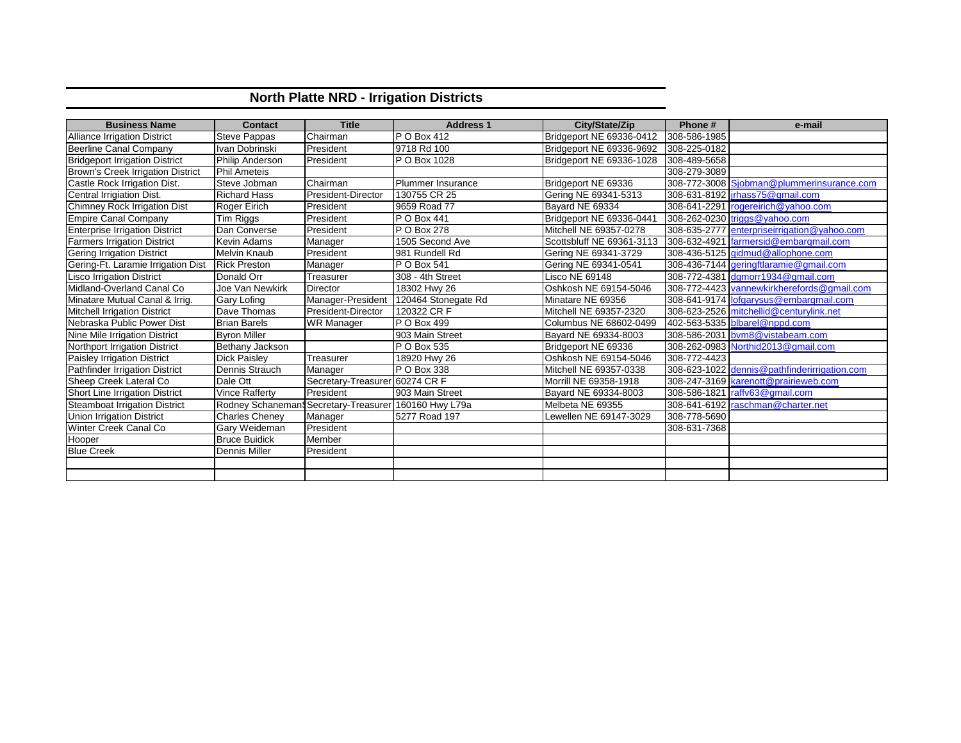## **North Platte NRD - Irrigation Districts**

| <b>Business Name</b>                  | <b>Contact</b>         | <b>Title</b>                        | <b>Address 1</b>         | City/State/Zip            | Phone#       | e-mail                                       |
|---------------------------------------|------------------------|-------------------------------------|--------------------------|---------------------------|--------------|----------------------------------------------|
| <b>Alliance Irrigation District</b>   | Steve Pappas           | Chairman                            | P O Box 412              | Bridgeport NE 69336-0412  | 308-586-1985 |                                              |
| Beerline Canal Company                | Ivan Dobrinski         | President                           | 9718 Rd 100              | Bridgeport NE 69336-9692  | 308-225-0182 |                                              |
| <b>Bridgeport Irrigation District</b> | <b>Philip Anderson</b> | President                           | P O Box 1028             | Bridgeport NE 69336-1028  | 308-489-5658 |                                              |
| Brown's Creek Irrigation District     | <b>Phil Ameteis</b>    |                                     |                          |                           | 308-279-3089 |                                              |
| Castle Rock Irrigation Dist.          | Steve Jobman           | Chairman                            | <b>Plummer Insurance</b> | Bridgeport NE 69336       |              | 308-772-3008 Sjobman@plummerinsurance.com    |
| Central Irrigiation Dist.             | <b>Richard Hass</b>    | President-Director                  | 130755 CR 25             | Gering NE 69341-5313      |              | 308-631-8192   irhass75@gmail.com            |
| <b>Chimney Rock Irrigation Dist</b>   | Roger Eirich           | President                           | 9659 Road 77             | Bayard NE 69334           |              | 308-641-2291 rogereirich@yahoo.com           |
| <b>Empire Canal Company</b>           | Tim Riggs              | President                           | P O Box 441              | Bridgeport NE 69336-0441  |              | 308-262-0230 triggs@yahoo.com                |
| <b>Enterprise Irrigation District</b> | Dan Converse           | President                           | P O Box 278              | Mitchell NE 69357-0278    |              | 308-635-2777 enterpriseirrigation@yahoo.com  |
| <b>Farmers Irrigation District</b>    | Kevin Adams            | Manager                             | 1505 Second Ave          | Scottsbluff NE 69361-3113 |              | 308-632-4921 farmersid@embargmail.com        |
| <b>Gering Irrigation District</b>     | <b>Melvin Knaub</b>    | President                           | 981 Rundell Rd           | Gering NE 69341-3729      |              | 308-436-5125 gidmud@allophone.com            |
| Gering-Ft. Laramie Irrigation Dist    | <b>Rick Preston</b>    | Manager                             | P O Box 541              | Gering NE 69341-0541      |              | 308-436-7144   geringftlaramie@gmail.com     |
| <b>Lisco Irrigation District</b>      | Donald Orr             | Treasurer                           | 308 - 4th Street         | Lisco NE 69148            |              | 308-772-4381 dgmorr1934@gmail.com            |
| Midland-Overland Canal Co             | Joe Van Newkirk        | Director                            | 18302 Hwy 26             | Oshkosh NE 69154-5046     |              | 308-772-4423 vannewkirkherefords@gmail.com   |
| Minatare Mutual Canal & Irrig.        | <b>Gary Lofing</b>     | Manager-President                   | 120464 Stonegate Rd      | Minatare NE 69356         |              | 308-641-9174 lofgarysus@embargmail.com       |
| <b>Mitchell Irrigation District</b>   | Dave Thomas            | President-Director                  | 120322 CR F              | Mitchell NE 69357-2320    |              | 308-623-2526 mitchellid@centurylink.net      |
| Nebraska Public Power Dist            | <b>Brian Barels</b>    | <b>WR Manager</b>                   | P O Box 499              | Columbus NE 68602-0499    |              | 402-563-5335 blbarel@nppd.com                |
| Nine Mile Irrigation District         | <b>Byron Miller</b>    |                                     | 903 Main Street          | Bayard NE 69334-8003      |              | 308-586-2031 bvm8@vistabeam.com              |
| Northport Irrigation District         | Bethany Jackson        |                                     | P O Box 535              | Bridgeport NE 69336       |              | 308-262-0983 Northid2013@gmail.com           |
| Paisley Irrigation District           | <b>Dick Paisley</b>    | Treasurer                           | 18920 Hwy 26             | Oshkosh NE 69154-5046     | 308-772-4423 |                                              |
| Pathfinder Irrigation District        | <b>Dennis Strauch</b>  | Manager                             | P O Box 338              | Mitchell NE 69357-0338    |              | 308-623-1022 dennis@pathfinderirrigation.com |
| Sheep Creek Lateral Co                | Dale Ott               | Secretary-Treasurer 60274 CR F      |                          | Morrill NE 69358-1918     |              | 308-247-3169 karenott@prairieweb.com         |
| Short Line Irrigation District        | <b>Vince Rafferty</b>  | President                           | 903 Main Street          | Bayard NE 69334-8003      |              | 308-586-1821 raffv63@gmail.com               |
| <b>Steamboat Irrigation District</b>  | Rodney Schaneman       | Secretary-Treasurer 160160 Hwy L79a |                          | Melbeta NE 69355          |              | 308-641-6192 raschman@charter.net            |
| <b>Union Irrigation District</b>      | <b>Charles Cheney</b>  | Manager                             | 5277 Road 197            | Lewellen NE 69147-3029    | 308-778-5690 |                                              |
| Winter Creek Canal Co                 | Gary Weideman          | President                           |                          |                           | 308-631-7368 |                                              |
| Hooper                                | <b>Bruce Buidick</b>   | Member                              |                          |                           |              |                                              |
| <b>Blue Creek</b>                     | Dennis Miller          | President                           |                          |                           |              |                                              |
|                                       |                        |                                     |                          |                           |              |                                              |
|                                       |                        |                                     |                          |                           |              |                                              |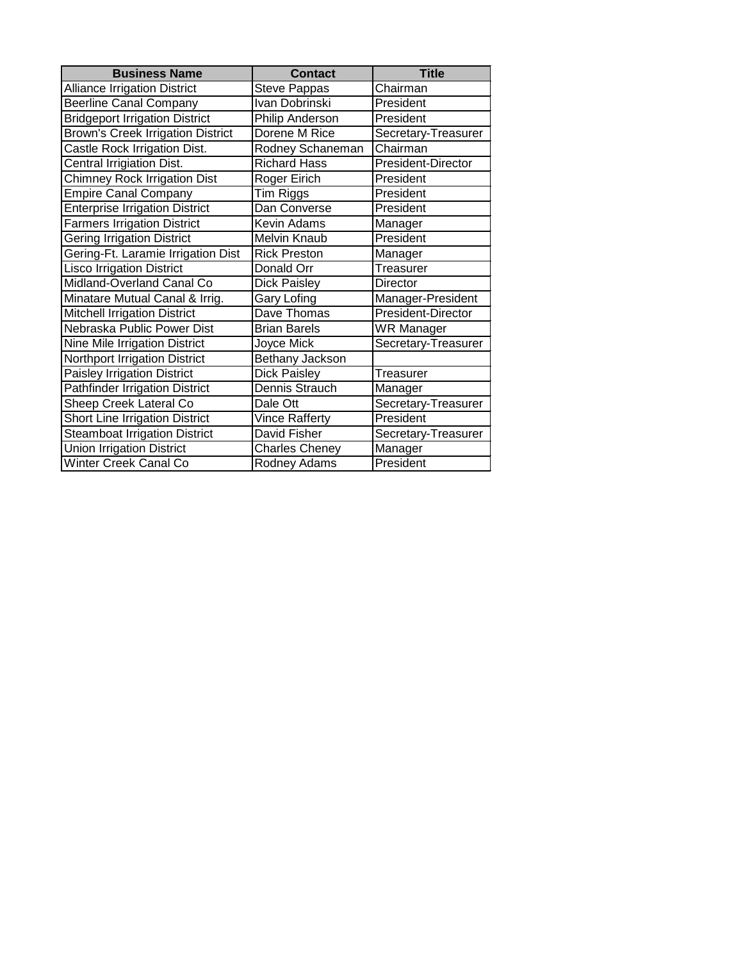| <b>Business Name</b>                     | <b>Contact</b>      | <b>Title</b>        |
|------------------------------------------|---------------------|---------------------|
| <b>Alliance Irrigation District</b>      | <b>Steve Pappas</b> | Chairman            |
| <b>Beerline Canal Company</b>            | Ivan Dobrinski      | President           |
| <b>Bridgeport Irrigation District</b>    | Philip Anderson     | President           |
| <b>Brown's Creek Irrigation District</b> | Dorene M Rice       | Secretary-Treasurer |
| Castle Rock Irrigation Dist.             | Rodney Schaneman    | Chairman            |
| Central Irrigiation Dist.                | <b>Richard Hass</b> | President-Director  |
| <b>Chimney Rock Irrigation Dist</b>      | Roger Eirich        | President           |
| <b>Empire Canal Company</b>              | Tim Riggs           | President           |
| <b>Enterprise Irrigation District</b>    | Dan Converse        | President           |
| <b>Farmers Irrigation District</b>       | Kevin Adams         | Manager             |
| <b>Gering Irrigation District</b>        | <b>Melvin Knaub</b> | President           |
| Gering-Ft. Laramie Irrigation Dist       | <b>Rick Preston</b> | Manager             |
| <b>Lisco Irrigation District</b>         | Donald Orr          | Treasurer           |
| Midland-Overland Canal Co                | <b>Dick Paisley</b> | Director            |
| Minatare Mutual Canal & Irrig.           | Gary Lofing         | Manager-President   |
| <b>Mitchell Irrigation District</b>      | Dave Thomas         | President-Director  |
| Nebraska Public Power Dist               | <b>Brian Barels</b> | <b>WR Manager</b>   |
| Nine Mile Irrigation District            | Joyce Mick          | Secretary-Treasurer |
| Northport Irrigation District            | Bethany Jackson     |                     |
| <b>Paisley Irrigation District</b>       | <b>Dick Paisley</b> | Treasurer           |
| <b>Pathfinder Irrigation District</b>    | Dennis Strauch      | Manager             |
| Sheep Creek Lateral Co                   | Dale Ott            | Secretary-Treasurer |
| Short Line Irrigation District           | Vince Rafferty      | President           |
| <b>Steamboat Irrigation District</b>     | David Fisher        | Secretary-Treasurer |
| <b>Union Irrigation District</b>         | Charles Cheney      | Manager             |
| Winter Creek Canal Co                    | Rodney Adams        | President           |